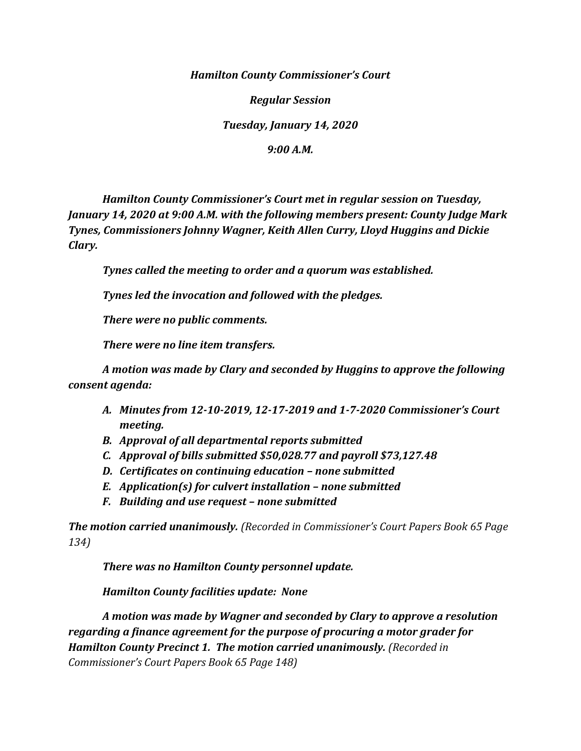*Hamilton County Commissioner's Court*

*Regular Session*

*Tuesday, January 14, 2020*

*9:00 A.M.*

*Hamilton County Commissioner's Court met in regular session on Tuesday, January 14, 2020 at 9:00 A.M. with the following members present: County Judge Mark Tynes, Commissioners Johnny Wagner, Keith Allen Curry, Lloyd Huggins and Dickie Clary.*

*Tynes called the meeting to order and a quorum was established.*

*Tynes led the invocation and followed with the pledges.*

*There were no public comments.*

*There were no line item transfers.*

*A motion was made by Clary and seconded by Huggins to approve the following consent agenda:*

- *A. Minutes from 12-10-2019, 12-17-2019 and 1-7-2020 Commissioner's Court meeting.*
- *B. Approval of all departmental reports submitted*
- *C. Approval of bills submitted \$50,028.77 and payroll \$73,127.48*
- *D. Certificates on continuing education – none submitted*
- *E. Application(s) for culvert installation – none submitted*
- *F. Building and use request – none submitted*

*The motion carried unanimously. (Recorded in Commissioner's Court Papers Book 65 Page 134)*

*There was no Hamilton County personnel update.*

*Hamilton County facilities update: None*

*A motion was made by Wagner and seconded by Clary to approve a resolution regarding a finance agreement for the purpose of procuring a motor grader for Hamilton County Precinct 1. The motion carried unanimously. (Recorded in Commissioner's Court Papers Book 65 Page 148)*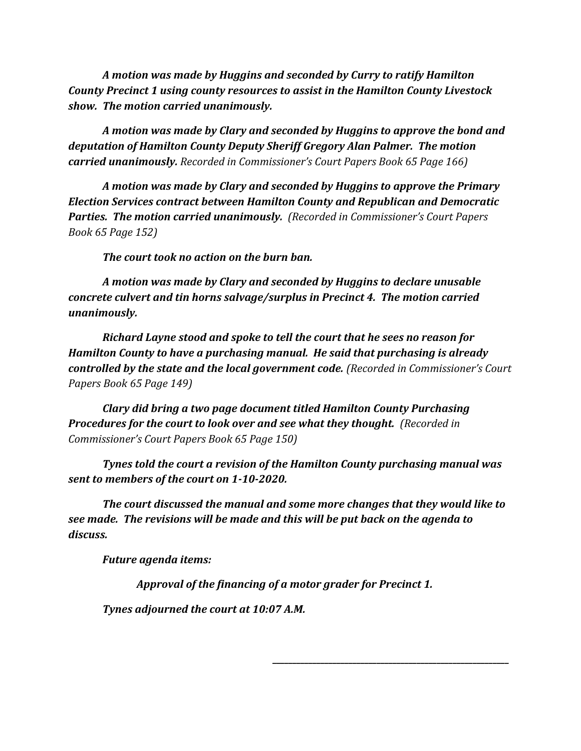*A motion was made by Huggins and seconded by Curry to ratify Hamilton County Precinct 1 using county resources to assist in the Hamilton County Livestock show. The motion carried unanimously.*

*A motion was made by Clary and seconded by Huggins to approve the bond and deputation of Hamilton County Deputy Sheriff Gregory Alan Palmer. The motion carried unanimously. Recorded in Commissioner's Court Papers Book 65 Page 166)*

*A motion was made by Clary and seconded by Huggins to approve the Primary Election Services contract between Hamilton County and Republican and Democratic Parties. The motion carried unanimously. (Recorded in Commissioner's Court Papers Book 65 Page 152)*

*The court took no action on the burn ban.*

*A motion was made by Clary and seconded by Huggins to declare unusable concrete culvert and tin horns salvage/surplus in Precinct 4. The motion carried unanimously.*

*Richard Layne stood and spoke to tell the court that he sees no reason for Hamilton County to have a purchasing manual. He said that purchasing is already controlled by the state and the local government code. (Recorded in Commissioner's Court Papers Book 65 Page 149)*

*Clary did bring a two page document titled Hamilton County Purchasing Procedures for the court to look over and see what they thought. (Recorded in Commissioner's Court Papers Book 65 Page 150)*

*Tynes told the court a revision of the Hamilton County purchasing manual was sent to members of the court on 1-10-2020.*

*The court discussed the manual and some more changes that they would like to see made. The revisions will be made and this will be put back on the agenda to discuss.*

*Future agenda items:*

*Approval of the financing of a motor grader for Precinct 1.*

*\_\_\_\_\_\_\_\_\_\_\_\_\_\_\_\_\_\_\_\_\_\_\_\_\_\_\_\_\_\_\_\_\_\_\_\_\_\_\_\_\_\_\_\_\_\_\_\_\_\_\_\_\_\_\_\_\_\_\_*

*Tynes adjourned the court at 10:07 A.M.*